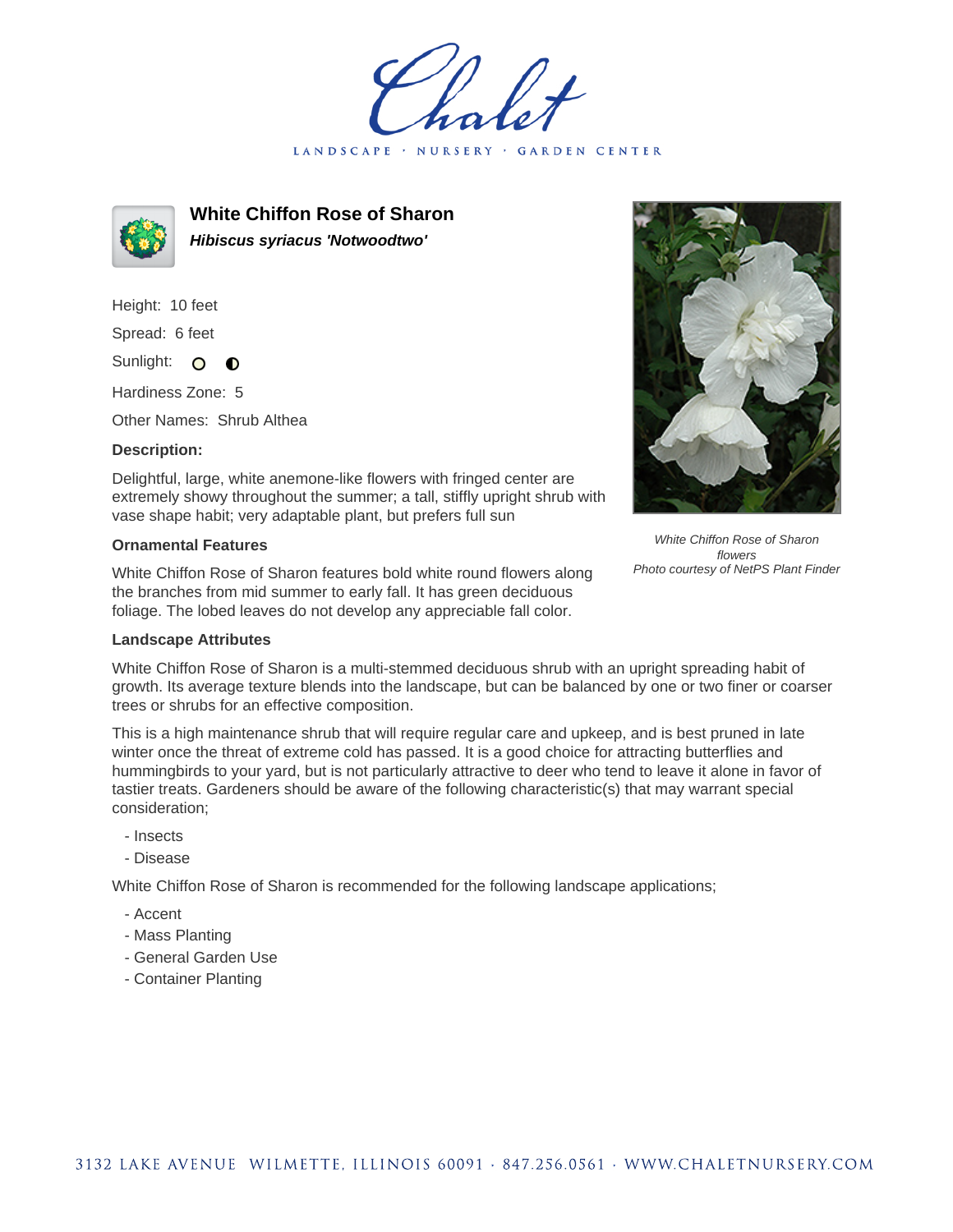LANDSCAPE · **GARDEN CENTER** 



**White Chiffon Rose of Sharon Hibiscus syriacus 'Notwoodtwo'**

Height: 10 feet Spread: 6 feet

Sunlight: O  $\bullet$ 

Hardiness Zone: 5

Other Names: Shrub Althea

## **Description:**

Delightful, large, white anemone-like flowers with fringed center are extremely showy throughout the summer; a tall, stiffly upright shrub with vase shape habit; very adaptable plant, but prefers full sun

## **Ornamental Features**

White Chiffon Rose of Sharon features bold white round flowers along the branches from mid summer to early fall. It has green deciduous foliage. The lobed leaves do not develop any appreciable fall color.



White Chiffon Rose of Sharon flowers Photo courtesy of NetPS Plant Finder

## **Landscape Attributes**

White Chiffon Rose of Sharon is a multi-stemmed deciduous shrub with an upright spreading habit of growth. Its average texture blends into the landscape, but can be balanced by one or two finer or coarser trees or shrubs for an effective composition.

This is a high maintenance shrub that will require regular care and upkeep, and is best pruned in late winter once the threat of extreme cold has passed. It is a good choice for attracting butterflies and hummingbirds to your yard, but is not particularly attractive to deer who tend to leave it alone in favor of tastier treats. Gardeners should be aware of the following characteristic(s) that may warrant special consideration;

- Insects
- Disease

White Chiffon Rose of Sharon is recommended for the following landscape applications;

- Accent
- Mass Planting
- General Garden Use
- Container Planting